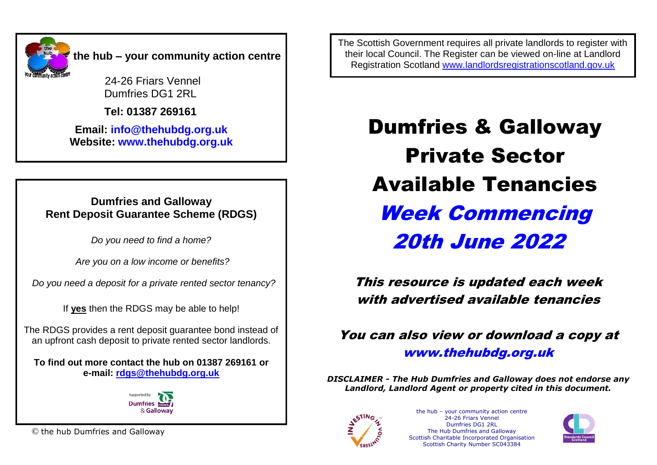

24-26 Friars Vennel Dumfries DG1 2RL

 **Tel: 01387 269161**

**Email: [info@thehubdg.org.uk](mailto:info@thehubdg.org.uk) Website: www.thehubdg.org.uk**

#### **Dumfries and Galloway Rent Deposit Guarantee Scheme (RDGS)**

*Do you need to find a home?*

*Are you on a low income or benefits?*

 *Do you need a deposit for a private rented sector tenancy?*

If **yes** then the RDGS may be able to help!

The RDGS provides a rent deposit guarantee bond instead of an upfront cash deposit to private rented sector landlords.

**To find out more contact the hub on 01387 269161 or e-mail: [rdgs@thehubdg.org.uk](mailto:rdgs@thehubdg.org.uk)**



© the hub Dumfries and Galloway

The Scottish Government requires all private landlords to register with their local Council. The Register can be viewed on-line at Landlord Registration Scotland [www.landlordsregistrationscotland.gov.uk](http://www.landlordsregistrationscotland.gov.uk/)

> Dumfries & Galloway Private Sector Available Tenancies Week Commencing 20th June 2022

This resource is updated each week with advertised available tenancies

You can also view or download a copy at [www.thehubdg.org.uk](http://www.thehubdg.org.uk/)

*DISCLAIMER - The Hub Dumfries and Galloway does not endorse any Landlord, Landlord Agent or property cited in this document.*



the hub – your community action centre 24-26 Friars Vennel Dumfries DG1 2RL The Hub Dumfries and Galloway Scottish Charitable Incorporated Organisation Scottish Charity Number SC043384

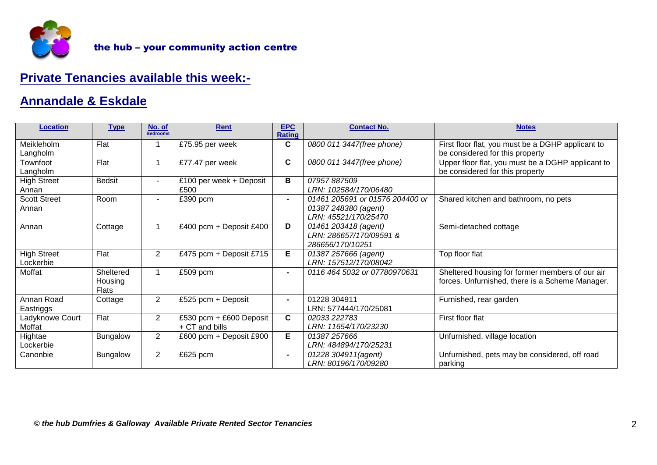

# **Private Tenancies available this week:-**

#### **Annandale & Eskdale**

| <b>Location</b>                 | <b>Type</b>                   | No. of<br><b>Bedrooms</b> | <b>Rent</b>                               | <b>EPC</b><br><b>Rating</b> | <b>Contact No.</b>                                                              | <b>Notes</b>                                                                                       |
|---------------------------------|-------------------------------|---------------------------|-------------------------------------------|-----------------------------|---------------------------------------------------------------------------------|----------------------------------------------------------------------------------------------------|
| Meikleholm<br>Langholm          | Flat                          |                           | £75.95 per week                           | $\mathbf{C}$                | 0800 011 3447(free phone)                                                       | First floor flat, you must be a DGHP applicant to<br>be considered for this property               |
| Townfoot<br>Langholm            | Flat                          |                           | £77.47 per week                           | $\mathbf{C}$                | 0800 011 3447(free phone)                                                       | Upper floor flat, you must be a DGHP applicant to<br>be considered for this property               |
| <b>High Street</b><br>Annan     | <b>Bedsit</b>                 | $\blacksquare$            | £100 per week + Deposit<br>£500           | в                           | 07957887509<br>LRN: 102584/170/06480                                            |                                                                                                    |
| <b>Scott Street</b><br>Annan    | Room                          | $\blacksquare$            | £390 pcm                                  | $\sim$                      | 01461 205691 or 01576 204400 or<br>01387 248380 (agent)<br>LRN: 45521/170/25470 | Shared kitchen and bathroom, no pets                                                               |
| Annan                           | Cottage                       |                           | £400 pcm + Deposit £400                   | D                           | 01461 203418 (agent)<br>LRN: 286657/170/09591 &<br>286656/170/10251             | Semi-detached cottage                                                                              |
| <b>High Street</b><br>_ockerbie | Flat                          | $\overline{2}$            | £475 pcm + Deposit £715                   | E                           | 01387 257666 (agent)<br>LRN: 157512/170/08042                                   | Top floor flat                                                                                     |
| Moffat                          | Sheltered<br>Housing<br>Flats |                           | £509 pcm                                  | $\blacksquare$              | 0116 464 5032 or 07780970631                                                    | Sheltered housing for former members of our air<br>forces. Unfurnished, there is a Scheme Manager. |
| Annan Road<br>Eastriggs         | Cottage                       | $\overline{2}$            | £525 pcm + Deposit                        |                             | 01228 304911<br>LRN: 577444/170/25081                                           | Furnished, rear garden                                                                             |
| Ladyknowe Court<br>Moffat       | Flat                          | $\overline{2}$            | £530 pcm + £600 Deposit<br>+ CT and bills | $\mathbf{C}$                | First floor flat<br>02033 222783<br>LRN: 11654/170/23230                        |                                                                                                    |
| Hightae<br>Lockerbie            | <b>Bungalow</b>               | $\mathbf{2}^{\prime}$     | £600 pcm + Deposit £900                   | E.                          | 01387 257666<br>LRN: 484894/170/25231                                           | Unfurnished, village location                                                                      |
| Canonbie                        | <b>Bungalow</b>               | $\overline{2}$            | £625 pcm                                  |                             | 01228 304911(agent)<br>LRN: 80196/170/09280                                     | Unfurnished, pets may be considered, off road<br>parking                                           |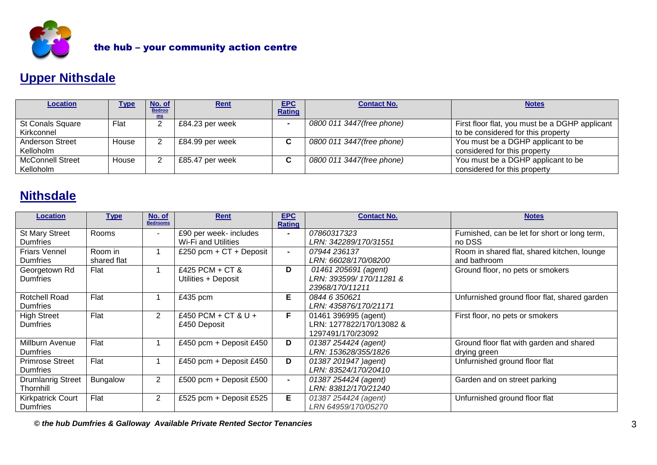

# **Upper Nithsdale**

| <b>Location</b>         | <u>Type</u> | No. of              | <b>Rent</b>     | <b>EPC</b>    | <b>Contact No.</b>        | <b>Notes</b>                                   |
|-------------------------|-------------|---------------------|-----------------|---------------|---------------------------|------------------------------------------------|
|                         |             | <b>Bedroo</b><br>ms |                 | <b>Rating</b> |                           |                                                |
| <b>St Conals Square</b> | Flat        |                     | £84.23 per week |               | 0800 011 3447(free phone) | First floor flat, you must be a DGHP applicant |
| Kirkconnel              |             |                     |                 |               |                           | to be considered for this property             |
| <b>Anderson Street</b>  | House       |                     | £84.99 per week | C.            | 0800 011 3447(free phone) | You must be a DGHP applicant to be             |
| Kelloholm               |             |                     |                 |               |                           | considered for this property                   |
| <b>McConnell Street</b> | House       |                     | £85.47 per week | <u>r</u><br>ັ | 0800 011 3447(free phone) | You must be a DGHP applicant to be             |
| Kelloholm               |             |                     |                 |               |                           | considered for this property                   |

## **Nithsdale**

| <b>Location</b>          | <b>Type</b>     | No. of<br><b>Bedrooms</b> | <b>Rent</b>               | <b>EPC</b><br><b>Rating</b> | <b>Contact No.</b>         | <b>Notes</b>                                  |  |
|--------------------------|-----------------|---------------------------|---------------------------|-----------------------------|----------------------------|-----------------------------------------------|--|
| <b>St Mary Street</b>    | Rooms           |                           | £90 per week- includes    | $\blacksquare$              | 07860317323                | Furnished, can be let for short or long term, |  |
| <b>Dumfries</b>          |                 |                           | Wi-Fi and Utilities       |                             | LRN: 342289/170/31551      | no DSS                                        |  |
| <b>Friars Vennel</b>     | Room in         |                           | £250 pcm + $CT$ + Deposit | $\blacksquare$              | 07944 236137               | Room in shared flat, shared kitchen, lounge   |  |
| <b>Dumfries</b>          | shared flat     |                           |                           |                             | LRN: 66028/170/08200       | and bathroom                                  |  |
| Georgetown Rd            | Flat            |                           | £425 PCM + CT &           | D                           | 01461 205691 (agent)       | Ground floor, no pets or smokers              |  |
| <b>Dumfries</b>          |                 |                           | Utilities + Deposit       |                             | LRN: 393599/ 170/11281 &   |                                               |  |
|                          |                 |                           |                           |                             | 23968/170/11211            |                                               |  |
| <b>Rotchell Road</b>     | Flat            |                           | £435 pcm                  | Е                           | 0844 6 350621              | Unfurnished ground floor flat, shared garden  |  |
| <b>Dumfries</b>          |                 |                           |                           |                             | LRN: 435876/170/21171      |                                               |  |
| <b>High Street</b>       | Flat            | $\overline{2}$            | £450 PCM + CT & U +       | F.                          | 01461 396995 (agent)       | First floor, no pets or smokers               |  |
| <b>Dumfries</b>          |                 |                           | £450 Deposit              |                             | RN: 1277822/170/13082 &    |                                               |  |
|                          |                 |                           |                           |                             | 1297491/170/23092          |                                               |  |
| Millburn Avenue          | Flat            |                           | £450 pcm + Deposit £450   | D                           | 01387 254424 (agent)       | Ground floor flat with garden and shared      |  |
| <b>Dumfries</b>          |                 |                           |                           |                             | LRN: 153628/355/1826       | drying green                                  |  |
| <b>Primrose Street</b>   | Flat            |                           | £450 pcm + Deposit £450   | D                           | 01387 201947 ) agent)      | Unfurnished ground floor flat                 |  |
| <b>Dumfries</b>          |                 |                           |                           |                             | LRN: 83524/170/20410       |                                               |  |
| <b>Drumlanrig Street</b> | <b>Bungalow</b> | $\overline{2}$            | £500 pcm + Deposit £500   | $\blacksquare$              | 01387 254424 (agent)       | Garden and on street parking                  |  |
| Thornhill                |                 |                           |                           |                             | LRN: 83812/170/21240       |                                               |  |
| <b>Kirkpatrick Court</b> | Flat            | $\overline{2}$            | £525 pcm + Deposit £525   | Е                           | 01387 254424 (agent)       | Unfurnished ground floor flat                 |  |
| <b>Dumfries</b>          |                 |                           |                           |                             | <i>LRN 64959/170/05270</i> |                                               |  |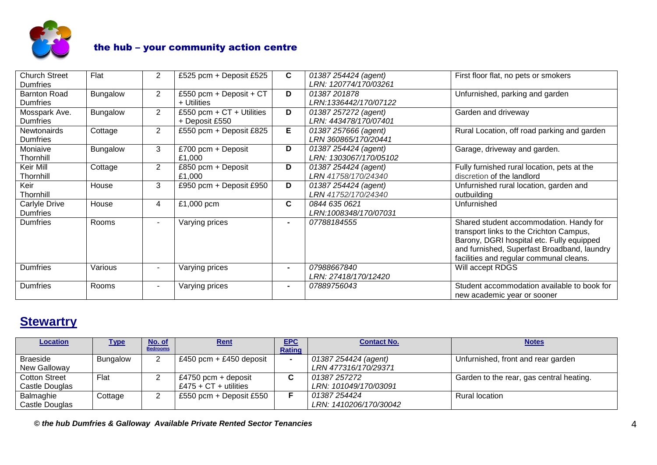

| <b>Church Street</b> | Flat            | $\overline{2}$ | £525 pcm + Deposit £525     | C              | 01387 254424 (agent)   | First floor flat, no pets or smokers        |
|----------------------|-----------------|----------------|-----------------------------|----------------|------------------------|---------------------------------------------|
| <b>Dumfries</b>      |                 |                |                             |                | LRN: 120774/170/03261  |                                             |
| <b>Barnton Road</b>  | Bungalow        | $\overline{2}$ | £550 pcm + Deposit + CT     | D              | 01387201878            | Unfurnished, parking and garden             |
| <b>Dumfries</b>      |                 |                | + Utilities                 |                | LRN:1336442/170/07122  |                                             |
| Mosspark Ave.        | <b>Bungalow</b> | $\overline{2}$ | £550 pcm + $CT$ + Utilities | D              | 01387 257272 (agent)   | Garden and driveway                         |
| <b>Dumfries</b>      |                 |                | + Deposit £550              |                | LRN: 443478/170/07401  |                                             |
| <b>Newtonairds</b>   | Cottage         | $\overline{2}$ | £550 pcm + Deposit £825     | Е              | 01387 257666 (agent)   | Rural Location, off road parking and garden |
| <b>Dumfries</b>      |                 |                |                             |                | LRN 360865/170/20441   |                                             |
| Moniaive             | <b>Bungalow</b> | 3              | £700 pcm + Deposit          | D              | 01387 254424 (agent)   | Garage, driveway and garden.                |
| Thornhill            |                 |                | £1,000                      |                | LRN: 1303067/170/05102 |                                             |
| Keir Mill            | Cottage         | $\overline{2}$ | £850 pcm + Deposit          | D              | 01387 254424 (agent)   | Fully furnished rural location, pets at the |
| Thornhill            |                 |                | £1,000                      |                | LRN 41758/170/24340    | discretion of the landlord                  |
| Keir                 | House           | 3              | £950 pcm + Deposit £950     | D              | 01387 254424 (agent)   | Unfurnished rural location, garden and      |
| Thornhill            |                 |                |                             |                | LRN 41752/170/24340    | outbuilding                                 |
| Carlyle Drive        | House           | 4              | £1,000 pcm                  | C              | 0844 635 0621          | Unfurnished                                 |
| <b>Dumfries</b>      |                 |                |                             |                | LRN:1008348/170/07031  |                                             |
| <b>Dumfries</b>      | <b>Rooms</b>    | $\blacksquare$ | Varying prices              | $\blacksquare$ | 07788184555            | Shared student accommodation. Handy for     |
|                      |                 |                |                             |                |                        | transport links to the Crichton Campus,     |
|                      |                 |                |                             |                |                        | Barony, DGRI hospital etc. Fully equipped   |
|                      |                 |                |                             |                |                        | and furnished, Superfast Broadband, laundry |
|                      |                 |                |                             |                |                        | facilities and regular communal cleans.     |
| <b>Dumfries</b>      | Various         |                | Varying prices              | $\blacksquare$ | 07988667840            | Will accept RDGS                            |
|                      |                 |                |                             |                | LRN: 27418/170/12420   |                                             |
| <b>Dumfries</b>      | Rooms           |                | Varying prices              | $\blacksquare$ | 07889756043            | Student accommodation available to book for |
|                      |                 |                |                             |                |                        | new academic year or sooner                 |

# **Stewartry**

| <b>Location</b> | <u>Type</u>     | No. of<br><b>Bedrooms</b> | Rent                    | <b>EPC</b><br>Rating | <b>Contact No.</b>     | <b>Notes</b>                             |
|-----------------|-----------------|---------------------------|-------------------------|----------------------|------------------------|------------------------------------------|
| <b>Braeside</b> | <b>Bungalow</b> |                           | £450 pcm + £450 deposit |                      | 01387 254424 (agent)   | Unfurnished, front and rear garden       |
| New Galloway    |                 |                           |                         |                      | LRN 477316/170/29371   |                                          |
| Cotton Street   | Flat            |                           | £4750 pcm + deposit     | C                    | 01387 257272           | Garden to the rear, gas central heating. |
| Castle Douglas  |                 |                           | £475 + $CT$ + utilities |                      | LRN: 101049/170/03091  |                                          |
| Balmaghie       | Cottage         |                           | £550 pcm + Deposit £550 |                      | 01387 254424           | <b>Rural location</b>                    |
| Castle Douglas  |                 |                           |                         |                      | LRN: 1410206/170/30042 |                                          |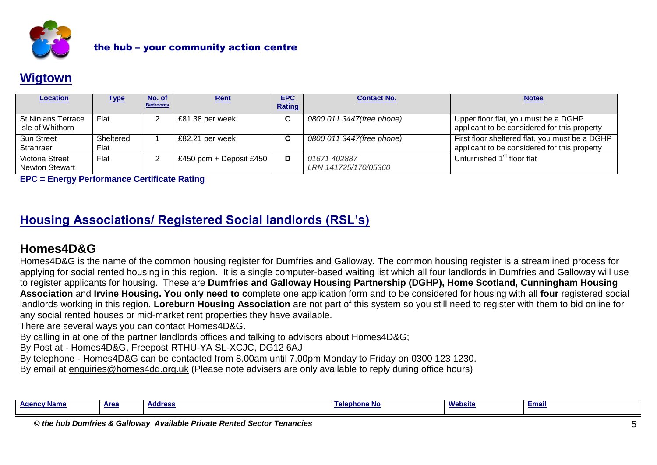

## **Wigtown**

| <b>Location</b>                               | <u>Type</u>       | No. of<br><b>Bedrooms</b> | <u>Rent</u>             | <b>EPC</b><br><b>Rating</b> | <b>Contact No.</b>                   | <b>Notes</b>                                                                                   |
|-----------------------------------------------|-------------------|---------------------------|-------------------------|-----------------------------|--------------------------------------|------------------------------------------------------------------------------------------------|
| <b>St Ninians Terrace</b><br>Isle of Whithorn | Flat              |                           | £81.38 per week         | C.                          | 0800 011 3447(free phone)            | Upper floor flat, you must be a DGHP<br>applicant to be considered for this property           |
| <b>Sun Street</b><br>Stranraer                | Sheltered<br>Flat |                           | £82.21 per week         | C.                          | 0800 011 3447(free phone)            | First floor sheltered flat, you must be a DGHP<br>applicant to be considered for this property |
| Victoria Street<br><b>Newton Stewart</b>      | Flat              |                           | £450 pcm + Deposit £450 | D                           | 01671 402887<br>LRN 141725/170/05360 | Unfurnished 1 <sup>st</sup> floor flat                                                         |

**EPC = Energy Performance Certificate Rating**

## **Housing Associations/ Registered Social landlords (RSL's)**

## **Homes4D&G**

Homes4D&G is the name of the common housing register for Dumfries and Galloway. The common housing register is a streamlined process for applying for social rented housing in this region. It is a single computer-based waiting list which all four landlords in Dumfries and Galloway will use to register applicants for housing. These are **[Dumfries and Galloway Housing Partnership](http://www.dghp.org.uk/) (DGHP), [Home Scotland,](http://www.homegroup.org.uk/) Cunningham Housing Association** and **[Irvine Housing.](http://www.riverside.org.uk/scotland/south_west.aspx) You only need to c**omplete one application form and to be considered for housing with all **four** registered social landlords working in this region. **Loreburn Housing Association** are not part of this system so you still need to register with them to bid online for any social rented houses or mid-market rent properties they have available.

There are several ways you can contact Homes4D&G.

By calling in at one of the partner landlords offices and talking to advisors about Homes4D&G;

By Post at - Homes4D&G, Freepost RTHU-YA SL-XCJC, DG12 6AJ

By telephone - Homes4D&G can be contacted from 8.00am until 7.00pm Monday to Friday on 0300 123 1230.

By email at [enquiries@homes4dg.org.uk](mailto:enquiries@homes4dg.org.uk) (Please note advisers are only available to reply during office hours)

| <b>Black</b><br>AMO <sup>r</sup><br>' Name | <b>Area</b> | <b>Address</b> | 1e!<br>nnnone No | <b>Website</b> | <u>Emai</u> |
|--------------------------------------------|-------------|----------------|------------------|----------------|-------------|
|                                            |             |                |                  |                |             |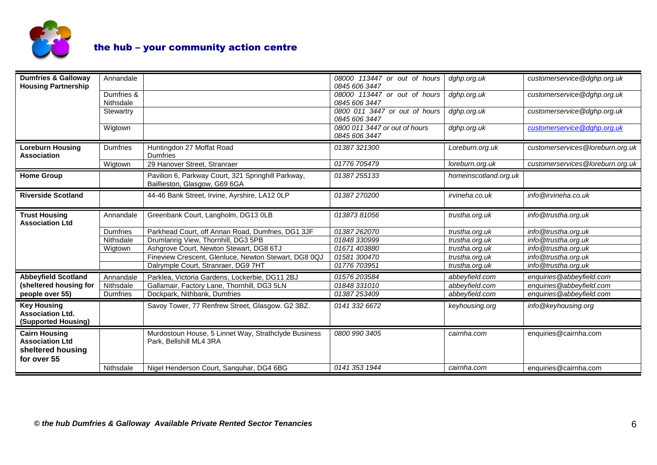

| <b>Dumfries &amp; Galloway</b><br><b>Housing Partnership</b>                       | Annandale               |                                                                                     | 08000 113447 or out of hours<br>0845 606 3447  | dghp.org.uk           | customerservice@dghp.org.uk      |
|------------------------------------------------------------------------------------|-------------------------|-------------------------------------------------------------------------------------|------------------------------------------------|-----------------------|----------------------------------|
|                                                                                    | Dumfries &<br>Nithsdale |                                                                                     | 08000 113447 or out of hours<br>0845 606 3447  | dghp.org.uk           | customerservice@dghp.org.uk      |
|                                                                                    | Stewartry               |                                                                                     | 0800 011 3447 or out of hours<br>0845 606 3447 | dghp.org.uk           | customerservice@dghp.org.uk      |
|                                                                                    | Wigtown                 |                                                                                     | 0800 011 3447 or out of hours<br>0845 606 3447 | dghp.org.uk           | customerservice@dghp.org.uk      |
| <b>Loreburn Housing</b><br><b>Association</b>                                      | Dumfries                | Huntingdon 27 Moffat Road<br><b>Dumfries</b>                                        | 01387 321300                                   | Loreburn.org.uk       | customerservices@loreburn.org.uk |
|                                                                                    | Wigtown                 | 29 Hanover Street, Stranraer                                                        | 01776 705479                                   | loreburn.org.uk       | customerservices@loreburn.org.uk |
| <b>Home Group</b>                                                                  |                         | Pavilion 6, Parkway Court, 321 Springhill Parkway,<br>Baillieston, Glasgow, G69 6GA | 01387255133                                    | homeinscotland.org.uk |                                  |
| <b>Riverside Scotland</b>                                                          |                         | 44-46 Bank Street, Irvine, Ayrshire, LA12 OLP                                       | 01387270200                                    | irvineha.co.uk        | info@irvineha.co.uk              |
| <b>Trust Housing</b><br><b>Association Ltd</b>                                     | Annandale               | Greenbank Court, Langholm, DG13 0LB                                                 | 01387381056                                    | trustha.org.uk        | info@trustha.org.uk              |
|                                                                                    | <b>Dumfries</b>         | Parkhead Court, off Annan Road, Dumfries, DG1 3JF                                   | 01387262070                                    | trustha.org.uk        | info@trustha.org.uk              |
|                                                                                    | Nithsdale               | Drumlanrig View, Thornhill, DG3 5PB                                                 | 01848 330999                                   | trustha.org.uk        | info@trustha.org.uk              |
|                                                                                    | Wigtown                 | Ashgrove Court, Newton Stewart, DG8 6TJ                                             | 01671 403880                                   | trustha.org.uk        | info@trustha.org.uk              |
|                                                                                    |                         | Fineview Crescent, Glenluce, Newton Stewart, DG8 0QJ                                | 01581 300470                                   | trustha.org.uk        | info@trustha.org.uk              |
|                                                                                    |                         | Dalrymple Court, Stranraer, DG9 7HT                                                 | 01776 703951                                   | trustha.org.uk        | info@trustha.org.uk              |
| <b>Abbeyfield Scotland</b>                                                         | Annandale               | Parklea, Victoria Gardens, Lockerbie, DG11 2BJ                                      | 01576 203584                                   | abbeyfield.com        | enquiries@abbeyfield.com         |
| (sheltered housing for                                                             | Nithsdale               | Gallamair, Factory Lane, Thornhill, DG3 5LN                                         | 01848 331010                                   | abbeyfield.com        | enquiries@abbeyfield.com         |
| people over 55)                                                                    | Dumfries                | Dockpark, Nithbank, Dumfries                                                        | 01387253409                                    | abbeyfield.com        | enquiries@abbeyfield.com         |
| <b>Key Housing</b><br><b>Association Ltd.</b><br>(Supported Housing)               |                         | Savoy Tower, 77 Renfrew Street, Glasgow. G2 3BZ.                                    | 0141 332 6672                                  | keyhousing.org        | info@keyhousing.org              |
| <b>Cairn Housing</b><br><b>Association Ltd</b><br>sheltered housing<br>for over 55 |                         | Murdostoun House, 5 Linnet Way, Strathclyde Business<br>Park, Bellshill ML4 3RA     | 0800 990 3405                                  | cairnha.com           | enquiries@cairnha.com            |
|                                                                                    | Nithsdale               | Nigel Henderson Court, Sanguhar, DG4 6BG                                            | 0141 353 1944                                  | cairnha.com           | enquiries@cairnha.com            |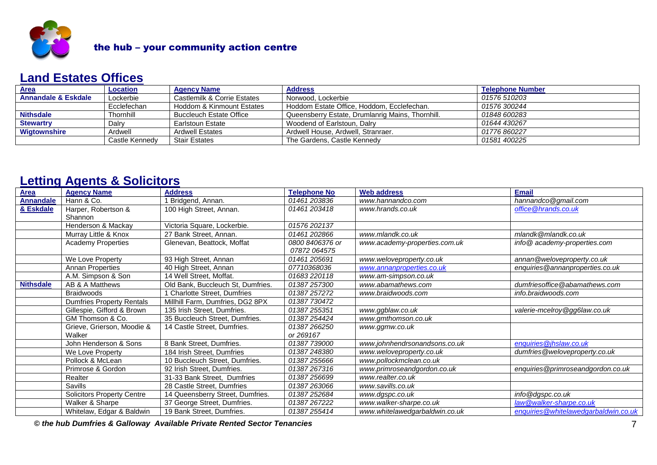

#### **Land Estates Offices**

| Area                           | Location       | <b>Agency Name</b>             | <b>Address</b>                                   | <b>Telephone Number</b> |
|--------------------------------|----------------|--------------------------------|--------------------------------------------------|-------------------------|
| <b>Annandale &amp; Eskdale</b> | Lockerbie      | Castlemilk & Corrie Estates    | Norwood, Lockerbie                               | 01576 510203            |
|                                | Ecclefechan    | Hoddom & Kinmount Estates      | Hoddom Estate Office, Hoddom, Ecclefechan.       | 01576 300244            |
| <b>Nithsdale</b>               | Thornhill      | <b>Buccleuch Estate Office</b> | Queensberry Estate, Drumlanrig Mains, Thornhill. | 01848 600283            |
| <b>Stewartry</b>               | Dalrv          | Earlstoun Estate               | Woodend of Earlstoun, Dalry                      | 01644 430267            |
| <b>Wigtownshire</b>            | Ardwell        | <b>Ardwell Estates</b>         | Ardwell House, Ardwell, Stranraer,               | 01776 860227            |
|                                | Castle Kennedv | <b>Stair Estates</b>           | The Gardens, Castle Kennedy                      | 01581 400225            |

#### **Letting Agents & Solicitors**

| <b>Area</b>      | <b>Agency Name</b>                | <b>Address</b>                    | <b>Telephone No</b> | <b>Web address</b>             | <b>Email</b>                         |
|------------------|-----------------------------------|-----------------------------------|---------------------|--------------------------------|--------------------------------------|
| <b>Annandale</b> | Hann & Co.                        | 1 Bridgend, Annan.                | 01461 203836        | www.hannandco.com              | hannandco@gmail.com                  |
| & Eskdale        | Harper, Robertson &               | 100 High Street, Annan.           | 01461203418         | www.hrands.co.uk               | office @hrands.co.uk                 |
|                  | Shannon                           |                                   |                     |                                |                                      |
|                  | Henderson & Mackay                | Victoria Square, Lockerbie.       | 01576 202137        |                                |                                      |
|                  | Murray Little & Knox              | 27 Bank Street, Annan.            | 01461 202866        | www.mlandk.co.uk               | mlandk@mlandk.co.uk                  |
|                  | <b>Academy Properties</b>         | Glenevan, Beattock, Moffat        | 0800 8406376 or     | www.academy-properties.com.uk  | info@academy-properties.com          |
|                  |                                   |                                   | 07872 064575        |                                |                                      |
|                  | We Love Property                  | 93 High Street, Annan             | 01461 205691        | www.weloveproperty.co.uk       | annan@weloveproperty.co.uk           |
|                  | Annan Properties                  | 40 High Street, Annan             | 07710368036         | www.annanproperties.co.uk      | enquiries@annanproperties.co.uk      |
|                  | A.M. Simpson & Son                | 14 Well Street, Moffat.           | 01683 220118        | www.am-simpson.co.uk           |                                      |
| <b>Nithsdale</b> | AB & A Matthews                   | Old Bank, Buccleuch St, Dumfries. | 01387 257300        | www.abamathews.com             | dumfriesoffice@abamathews.com        |
|                  | <b>Braidwoods</b>                 | 1 Charlotte Street, Dumfries      | 01387 257272        | www.braidwoods.com             | info.braidwoods.com                  |
|                  | <b>Dumfries Property Rentals</b>  | Millhill Farm, Dumfries, DG2 8PX  | 01387 730472        |                                |                                      |
|                  | Gillespie, Gifford & Brown        | 135 Irish Street, Dumfries.       | 01387255351         | www.ggblaw.co.uk               | valerie-mcelroy@gg6law.co.uk         |
|                  | GM Thomson & Co.                  | 35 Buccleuch Street, Dumfries.    | 01387254424         | www.gmthomson.co.uk            |                                      |
|                  | Grieve, Grierson, Moodie &        | 14 Castle Street, Dumfries.       | 01387 266250        | www.ggmw.co.uk                 |                                      |
|                  | Walker                            |                                   | or 269167           |                                |                                      |
|                  | John Henderson & Sons             | 8 Bank Street, Dumfries.          | 01387 739000        | www.johnhendrsonandsons.co.uk  | enquiries@jhslaw.co.uk               |
|                  | We Love Property                  | 184 Irish Street, Dumfries        | 01387248380         | www.weloveproperty.co.uk       | dumfries@weloveproperty.co.uk        |
|                  | Pollock & McLean                  | 10 Buccleuch Street, Dumfries.    | 01387255666         | www.pollockmclean.co.uk        |                                      |
|                  | Primrose & Gordon                 | 92 Irish Street, Dumfries.        | 01387 267316        | www.primroseandgordon.co.uk    | enquiries@primroseandgordon.co.uk    |
|                  | Realter                           | 31-33 Bank Street, Dumfries       | 01387256699         | www.realter.co.uk              |                                      |
|                  | Savills                           | 28 Castle Street, Dumfries        | 01387263066         | www.savills.co.uk              |                                      |
|                  | <b>Solicitors Property Centre</b> | 14 Queensberry Street, Dumfries.  | 01387252684         | www.dgspc.co.uk                | info@dgspc.co.uk                     |
|                  | Walker & Sharpe                   | 37 George Street, Dumfries.       | 01387 267222        | www.walker-sharpe.co.uk        | law@walker-sharpe.co.uk              |
|                  | Whitelaw, Edgar & Baldwin         | 19 Bank Street, Dumfries.         | 01387255414         | www.whitelawedgarbaldwin.co.uk | enquiries@whitelawedgarbaldwin.co.uk |